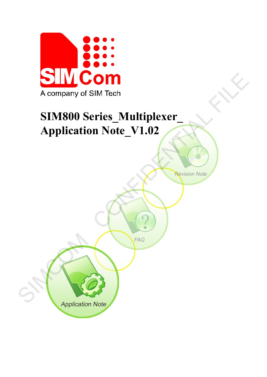

# **SIM800 Series\_Multiplexer\_ Application Note\_V1.02**  A company of SIM Tech<br>
SIM800 Series\_Multiplexer<br>
Application Note\_V1.02<br>
Application Note\_V1.02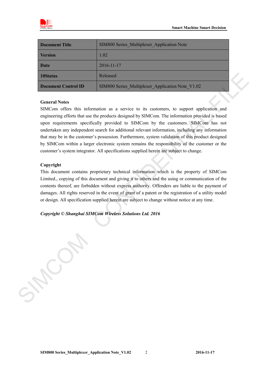

| <b>Document Title</b> | SIM800 Series Multiplexer Application Note       |
|-----------------------|--------------------------------------------------|
| <b>Version</b>        | 1.02                                             |
| <b>Date</b>           | 2016-11-17                                       |
| 10Status              | Released                                         |
| Document Control ID   | SIM800 Series Multiplexer Application Note V1.02 |

#### **General Notes**

SIMCom offers this information as a service to its customers, to support application and engineering efforts that use the products designed by SIMCom. The information provided is based upon requirements specifically provided to SIMCom by the customers. SIMCom has not undertaken any independent search for additional relevant information, including any information that may be in the customer's possession. Furthermore, system validation of this product designed by SIMCom within a larger electronic system remains the responsibility of the customer or the customer's system integrator. All specifications supplied herein are subject to change. **IOStatus**<br> **SIMS00 Series.** Natliplexor Application Note V1.02<br> **Coneral Note**<br>
SIMS00 Series. Maltiplexor Application Note V1.02<br>
SIMCorm Telesting and acquiered from this information are a series to its customers, to s

#### **Copyright**

This document contains proprietary technical information which is the property of SIMCom Limited., copying of this document and giving it to others and the using or communication of the contents thereof, are forbidden without express authority. Offenders are liable to the payment of damages. All rights reserved in the event of grant of a patent or the registration of a utility model or design. All specification supplied herein are subject to change without notice at any time.

*Copyright © Shanghai SIMCom Wireless Solutions Ltd. 2016*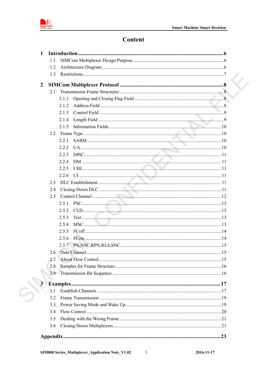

C.

# Content

|                         | 1.1        |       |  |
|-------------------------|------------|-------|--|
|                         | 1.2        |       |  |
|                         | 1.3        |       |  |
| 2                       |            |       |  |
|                         | 2.1        |       |  |
|                         |            | 2.1.1 |  |
|                         |            | 2.1.2 |  |
|                         |            | 2.1.3 |  |
|                         |            | 2.1.4 |  |
|                         |            | 2.1.5 |  |
|                         | 2.2        |       |  |
|                         |            | 221   |  |
|                         |            | 2.2.2 |  |
|                         |            | 2.2.3 |  |
|                         |            | 224   |  |
|                         |            | 2.2.5 |  |
|                         |            | 2.2.6 |  |
|                         | 2.3        |       |  |
|                         | 2.4        |       |  |
|                         | 2.5        |       |  |
|                         |            | 2.5.1 |  |
|                         |            | 2.5.2 |  |
|                         |            | 2.5.3 |  |
|                         |            | 2.5.4 |  |
|                         |            | 2.5.5 |  |
|                         |            | 2.5.6 |  |
|                         |            |       |  |
|                         |            |       |  |
|                         | 2.7        |       |  |
|                         | 2.8<br>2.9 |       |  |
|                         |            |       |  |
| $\overline{\mathbf{3}}$ |            |       |  |
|                         | 3.1        |       |  |
|                         | 3.2        |       |  |
|                         | 3.3        |       |  |
|                         | 3.4        |       |  |
|                         | 3.5        |       |  |
|                         | 3.6        |       |  |
|                         |            |       |  |

 $\overline{\mathbf{3}}$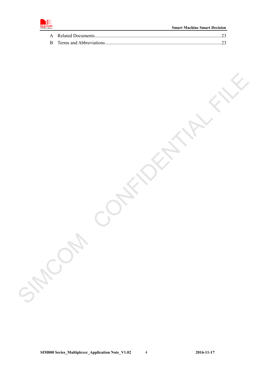

SIMCOM CONFIDENTIAL FILE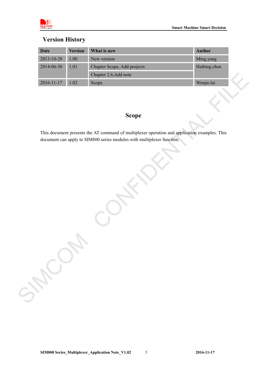

## **Version History**

| <b>Date</b>      | <b>Version</b> | What is new                                                                                   | <b>Author</b> |
|------------------|----------------|-----------------------------------------------------------------------------------------------|---------------|
| 2013-10-28       | $1.00\,$       | New version                                                                                   | Ming.yang     |
| 2014-06-30       | $1.01\,$       | Chapter Scope, Add projects                                                                   | Haibing.chen  |
|                  |                | Chapter 2.6, Add note                                                                         |               |
| $2016 - 11 - 17$ | 1.02           | Scope                                                                                         | Wenjie.lai    |
|                  |                |                                                                                               |               |
|                  |                |                                                                                               |               |
|                  |                | <b>Scope</b>                                                                                  |               |
|                  |                |                                                                                               |               |
|                  |                | This document presents the AT command of multiplexer operation and application examples. This |               |
|                  |                | document can apply to SIM800 series modules with multiplexer function.                        |               |
|                  |                |                                                                                               |               |
|                  |                |                                                                                               |               |
|                  |                |                                                                                               |               |
|                  |                |                                                                                               |               |
|                  |                |                                                                                               |               |
|                  |                |                                                                                               |               |
|                  |                |                                                                                               |               |
|                  |                |                                                                                               |               |
|                  |                |                                                                                               |               |
|                  |                |                                                                                               |               |
|                  |                |                                                                                               |               |
|                  |                |                                                                                               |               |
|                  |                |                                                                                               |               |
|                  |                |                                                                                               |               |
|                  |                |                                                                                               |               |
|                  |                |                                                                                               |               |
|                  |                |                                                                                               |               |
| SHOW             |                |                                                                                               |               |
|                  |                |                                                                                               |               |
|                  |                |                                                                                               |               |

## **Scope**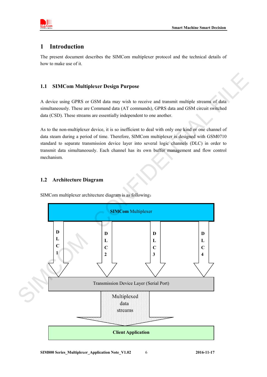

## <span id="page-5-0"></span>**1 Introduction**

The present document describes the SIMCom multiplexer protocol and the technical details of how to make use of it.

#### **1.1 SIMCom Multiplexer Design Purpose**

A device using GPRS or GSM data may wish to receive and transmit multiple streams of data simultaneously. These are Command data (AT commands), GPRS data and GSM circuit switched data (CSD). These streams are essentially independent to one another.

<span id="page-5-1"></span>As to the non-multiplexer device, it is so inefficient to deal with only one kind or one channel of data steam during a period of time. Therefore, SIMCom multiplexer is designed with GSM0710 standard to separate transmission device layer into several logic channels (DLC) in order to transmit data simultaneously. Each channel has its own buffer management and flow control mechanism. Example 10 and the series of the series of the series of the scheme of the scheme of the scheme of the scheme of the scheme of the series are essentially independent to one another.<br>
Evice, it is so inefficient to deal wit

#### <span id="page-5-2"></span>**1.2 Architecture Diagram**

SIMCom multiplexer architecture diagram is as following:



**SIM800 Series\_Multiplexer\_Application Note\_V1.02** 6 **2016-11-17**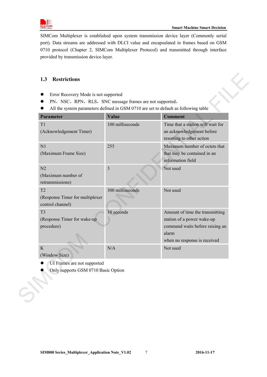

SIMCom Multiplexer is established upon system transmission device layer (Commonly serial port). Data streams are addressed with DLCI value and encapsulated in frames based on GSM 0710 protocol (Chapter 2, SIMCom Multiplexer Protocol) and transmitted through interface provided by transmission device layer.

## <span id="page-6-0"></span>**1.3 Restrictions**

- **•** Error Recovery Mode is not supported
- PN, NSC, RPN, RLS, SNC message frames are not supported,
- All the system parameters defined in GSM 0710 are set to default as following table

| PN, NSC, RPN, RLS, SNC message frames are not supported,<br>All the system parameters defined in GSM 0710 are set to default as following table |                  |                                                                                                                                           |  |  |  |  |  |
|-------------------------------------------------------------------------------------------------------------------------------------------------|------------------|-------------------------------------------------------------------------------------------------------------------------------------------|--|--|--|--|--|
| <b>Parameter</b>                                                                                                                                | <b>Value</b>     | <b>Comment</b>                                                                                                                            |  |  |  |  |  |
| T1<br>(Acknowledgement Timer)                                                                                                                   | 100 milliseconds | Time that a station will wait for<br>an acknowledgement before<br>resorting to other action                                               |  |  |  |  |  |
| N1<br>(Maximum Frame Size)                                                                                                                      | 255              | Maximum number of octets that<br>that may be contained in an<br>information field                                                         |  |  |  |  |  |
| N <sub>2</sub><br>(Maximum number of<br>retransmissions)                                                                                        | $\overline{3}$   | Not used                                                                                                                                  |  |  |  |  |  |
| T <sub>2</sub><br>(Response Timer for multiplexer<br>control channel)                                                                           | 300 milliseconds | Not used                                                                                                                                  |  |  |  |  |  |
| T <sub>3</sub><br>(Response Timer for wake-up<br>procedure)                                                                                     | 10 seconds       | Amount of time the transmitting<br>station of a power wake-up<br>command waits before raising an<br>alarm<br>when no response is received |  |  |  |  |  |
| K<br>(Window Size)                                                                                                                              | N/A              | Not used                                                                                                                                  |  |  |  |  |  |
| UI Frames are not supported<br>Only supports GSM 0710 Basic Option                                                                              |                  |                                                                                                                                           |  |  |  |  |  |

- UI Frames are not supported
- Only supports GSM 0710 Basic Option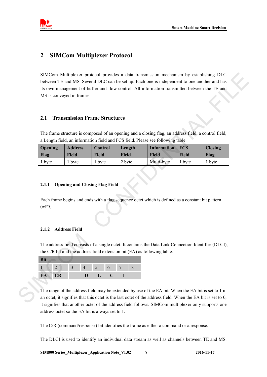

## <span id="page-7-0"></span>**2 SIMCom Multiplexer Protocol**

SIMCom Multiplexer protocol provides a data transmission mechanism by establishing DLC between TE and MS. Several DLC can be set up. Each one is independent to one another and has its own management of buffer and flow control. All information transmitted between the TE and MS is conveyed in frames. SIMCOM Multipler protocol provides a data transmission mechanism by scalibiling DTC<br>between TE and MS. Several DLC can be set up. Each one is independent to one another and has<br>to come management of buffer and flow contro

#### <span id="page-7-1"></span>**2.1 Transmission Frame Structures**

The frame structure is composed of an opening and a closing flag, an address field, a control field, a Length field, an information field and FCS field. Please see following table.

| <b>Opening</b> | <b>Address</b> | Control      | Length       | Information FCS |        | <b>Closing</b> |
|----------------|----------------|--------------|--------------|-----------------|--------|----------------|
| Flag           | Field          | <b>Field</b> | <b>Field</b> | <b>Field</b>    | Field  | Flag           |
| 1 byte         | 1 byte         | 1 byte       | 2 byte       | Multi-byte      | 1 byte | 1 byte         |

#### <span id="page-7-2"></span>**2.1.1 Opening and Closing Flag Field**

Each frame begins and ends with a flag sequence octet which is defined as a constant bit pattern  $0xF9$ .

#### <span id="page-7-3"></span>**2.1.2 Address Field**

The address field consists of a single octet. It contains the Data Link Connection Identifier (DLCI), the C/R bit and the address field extension bit (EA) as following table.

| <b>Bit</b> |    |   |                |      |  |
|------------|----|---|----------------|------|--|
|            |    |   | 5 <sub>1</sub> | $-6$ |  |
| EA         | CR | D |                | . .  |  |

The range of the address field may be extended by use of the EA bit. When the EA bit is set to 1 in an octet, it signifies that this octet is the last octet of the address field. When the EA bit is set to 0, it signifies that another octet of the address field follows. SIMCom multiplexer only supports one address octet so the EA bit is always set to 1.

The C/R (command/response) bit identifies the frame as either a command or a response.

The DLCI is used to identify an individual data stream as well as channels between TE and MS.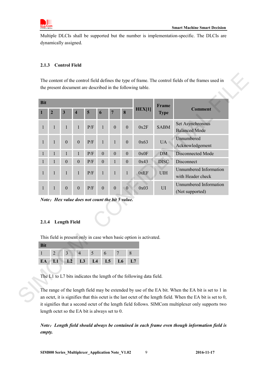

Multiple DLCIs shall be supported but the number is implementation-specific. The DLCIs are dynamically assigned.

#### <span id="page-8-0"></span>**2.1.3 Control Field**

|                                                                                 |                |                  |                         |           |                  |                  |                  |                                                                    | Frame          |                                             |  |  |
|---------------------------------------------------------------------------------|----------------|------------------|-------------------------|-----------|------------------|------------------|------------------|--------------------------------------------------------------------|----------------|---------------------------------------------|--|--|
| $\mathbf{1}$                                                                    | $\overline{2}$ | $\mathbf{3}$     | $\overline{\mathbf{4}}$ | 5         | 6                | $\overline{7}$   | $\bf{8}$         | <b>HEX[1]</b>                                                      | <b>Type</b>    | <b>Comment</b>                              |  |  |
| $\mathbf{1}$                                                                    | $\mathbf{1}$   | 1                | 1                       | P/F       | $\mathbf{1}$     | $\boldsymbol{0}$ | $\boldsymbol{0}$ | 0x2F                                                               | <b>SABM</b>    | Set Asynchronous<br><b>Balanced Mode</b>    |  |  |
| $\mathbf{1}$                                                                    | $\mathbf{1}$   | $\boldsymbol{0}$ | $\boldsymbol{0}$        | $\rm P/F$ | $\mathbf{1}$     | $\mathbf{1}$     | $\boldsymbol{0}$ | 0x63                                                               | <b>UA</b>      | Unnumbered<br>Acknowledgement               |  |  |
| $\mathbf{1}$                                                                    | $\mathbf{1}$   | 1                | 1                       | P/F       | $\boldsymbol{0}$ | $\boldsymbol{0}$ | $\boldsymbol{0}$ | 0x0F                                                               | <b>DM</b>      | Disconnected Mode                           |  |  |
| $\mathbf{1}$                                                                    | $\mathbf{1}$   | $\boldsymbol{0}$ | $\boldsymbol{0}$        | $\rm P/F$ | $\boldsymbol{0}$ | $\mathbf{1}$     | $\boldsymbol{0}$ | 0x43                                                               | <b>DISC</b>    | Disconnect                                  |  |  |
| $\mathbf{1}$                                                                    | 1              | 1                | 1                       | P/F       | 1                | 1                | $\mathbf{1}$     | 0xEF                                                               | $U\mathrm{IH}$ | Unnumbered Information<br>with Header check |  |  |
| $\mathbf{1}$                                                                    | 1              | $\boldsymbol{0}$ | $\boldsymbol{0}$        | P/F       | $\boldsymbol{0}$ | $\boldsymbol{0}$ | $\overline{0}$   | 0x03                                                               | $\rm UI$       | Unnumbered Information<br>(Not supported)   |  |  |
| Note: Hex value does not count the bit 5 value.<br><b>Length Field</b><br>2.1.4 |                |                  |                         |           |                  |                  |                  |                                                                    |                |                                             |  |  |
| <b>Bit</b>                                                                      |                |                  |                         |           |                  |                  |                  | This field is present only in case when basic option is activated. |                |                                             |  |  |
|                                                                                 | $\overline{2}$ | $\overline{3}$   | $\overline{4}$          | 5         | 6                | $\overline{7}$   | $8\,$            |                                                                    |                |                                             |  |  |
| $\mathbf{1}$                                                                    | L1             | L2               | L <sub>3</sub>          | L4        | L5               |                  | L <sub>6</sub>   | L7                                                                 |                |                                             |  |  |
| EA                                                                              |                |                  |                         |           |                  |                  |                  |                                                                    |                |                                             |  |  |

*Note*:*Hex value does not count the bit 5 value.*

#### <span id="page-8-1"></span>**2.1.4 Length Field**

|  |  | $1 \t2 \t3 \t4 \t5 \t6 \t7 \t8$ |  |  |  |  |  |  |  |  |
|--|--|---------------------------------|--|--|--|--|--|--|--|--|
|  |  | EA L1 L2 L3 L4 L5 L6 L7         |  |  |  |  |  |  |  |  |

The range of the length field may be extended by use of the EA bit. When the EA bit is set to 1 in an octet, it is signifies that this octet is the last octet of the length field. When the EA bit is set to 0, it signifies that a second octet of the length field follows. SIMCom multiplexer only supports two length octet so the EA bit is always set to 0.

*Note*:*Length field should always be contained in each frame even though information field is empty.*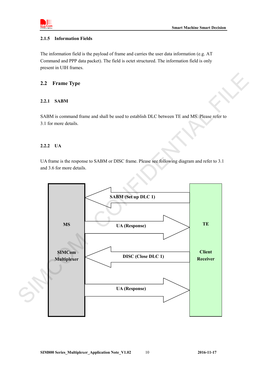

#### <span id="page-9-0"></span>**2.1.5 Information Fields**

The information field is the payload of frame and carries the user data information (e.g. AT Command and PPP data packet). The field is octet structured. The information field is only present in UIH frames.

#### <span id="page-9-1"></span>**2.2 Frame Type**

#### <span id="page-9-2"></span>**2.2.1 SABM**

SABM is command frame and shall be used to establish DLC between TE and MS. Please refer to 3.1 for more details.

#### <span id="page-9-3"></span>**2.2.2 UA**

UA frame is the response to SABM or DISC frame. Please see following diagram and refer to 3.1 and 3.6 for more details.

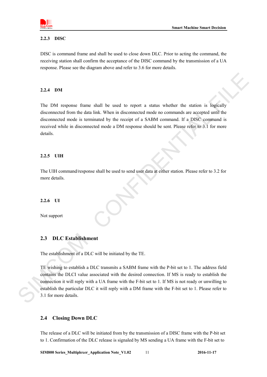

#### <span id="page-10-0"></span>**2.2.3 DISC**

DISC is command frame and shall be used to close down DLC. Prior to acting the command, the receiving station shall confirm the acceptance of the DISC command by the transmission of a UA response. Please see the diagram above and refer to 3.6 for more details.

#### <span id="page-10-1"></span>**2.2.4 DM**

The DM response frame shall be used to report a status whether the station is logically disconnected from the data link. When in disconnected mode no commands are accepted until the disconnected mode is terminated by the receipt of a SABM command. If a DISC command is received while in disconnected mode a DM response should be sent. Please refer to 3.1 for more details.

#### <span id="page-10-2"></span>**2.2.5 UIH**

The UIH command/response shall be used to send user data at either station. Please refer to 3.2 for more details.

#### <span id="page-10-3"></span>**2.2.6 UI**

Not support

#### <span id="page-10-4"></span>**2.3 DLC Establishment**

The establishment of a DLC will be initiated by the TE.

TE wishing to establish a DLC transmits a SABM frame with the P-bit set to 1. The address field contains the DLCI value associated with the desired connection. If MS is ready to establish the connection it will reply with a UA frame with the F-bit set to 1. If MS is not ready or unwilling to establish the particular DLC it will reply with a DM frame with the F-bit set to 1. Please refer to 3.1 for more details. 2.2.4 DM<br>
The DM response frame shall be used to treport a stants whether the station is logically<br>
disconnected from the data link. When in disconnected mode on crossmands are accepted unit<br>
disconnected mode is terminat

#### <span id="page-10-5"></span>**2.4 Closing Down DLC**

The release of a DLC will be initiated from by the transmission of a DISC frame with the P-bit set to 1. Confirmation of the DLC release is signaled by MS sending a UA frame with the F-bit set to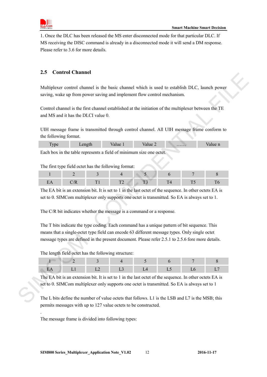

1. Once the DLC has been released the MS enter disconnected mode for that particular DLC. If MS receiving the DISC command is already in a disconnected mode it will send a DM response. Please refer to 3.6 for more details.

## <span id="page-11-0"></span>**2.5 Control Channel**

Multiplexer control channel is the basic channel which is used to establish DLC, launch power saving, wake up from power saving and implement flow control mechanism.

Control channel is the first channel established at the initiation of the multiplexer between the TE and MS and it has the DLCI value 0.

UIH message frame is transmitted through control channel. All UIH message frame conform to the following format.

| vpe | $\alpha$ n $\alpha$ tk | 'alue 1 | alue 27 | . | aiue n |
|-----|------------------------|---------|---------|---|--------|
|     | .                      | $\sim$  |         |   |        |

Each box in the table represents a field of minimum size one octet.

The first type field octet has the following format:

The EA bit is an extension bit. It is set to 1 in the last octet of the sequence. In other octets EA is set to 0. SIMCom multiplexer only supports one octet is transmitted. So EA is always set to 1.

The C/R bit indicates whether the message is a command or a response.

The T bits indicate the type coding. Each command has a unique pattern of bit sequence. This means that a single-octet type field can encode 63 different message types. Only single octet message types are defined in the present document. Please refer 2.5.1 to 2.5.6 fore more details. Exact control channels like basic channel which is used to establish DLC, launch power<br>what power average on more raving and implement flow control mechanism.<br>Control channel is the rist channel stabilished at the initiat

The length field octet has the following structure:

The EA bit is an extension bit. It is set to 1 in the last octet of the sequence. In other octets EA is set to 0. SIMCom multiplexer only supports one octet is transmitted. So EA is always set to 1

The L bits define the number of value octets that follows. L1 is the LSB and L7 is the MSB; this permits messages with up to 127 value octets to be constructed.

The message frame is divided into following types:

.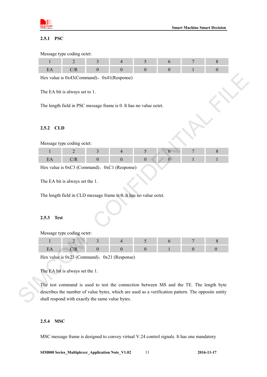

#### <span id="page-12-0"></span>**2.5.1 PSC**

Message type coding octet:

Hex value is  $0x43$ (Command),  $0x41$ (Response)

The EA bit is always set to 1.

The length field in PSC message frame is 0. It has no value octet.

#### <span id="page-12-1"></span>**2.5.2 CLD**

Message type coding octet:

Hex value is  $0xC3$  (Command),  $0xC1$  (Response)

The EA bit is always set the 1.

The length field in CLD message frame is 0. It has no value octet.

#### <span id="page-12-2"></span>**2.5.3 Test**

Message type coding octet:

Hex value is  $0x23$  (Command),  $0x21$  (Response)

The EA bit is always set the 1.

The test command is used to test the connection between MS and the TE. The length byte describes the number of value bytes, which are used as a verification pattern. The opposite entity shall respond with exactly the same value bytes. For value is 0x43 (Command). Ox41 (Response)<br>
The EA bit is always set to 1.<br>
The length field in PSC message frame is 0. It has no value ectel.<br>
2.5.2 CLD<br>
Message type coding ode:<br>  $\frac{1}{1}$   $\frac{2}{1}$   $\frac{3}{1}$   $\frac{4}{1}$ 

#### <span id="page-12-3"></span>**2.5.4 MSC**

MSC message frame is designed to convey virtual V.24 control signals. It has one mandatory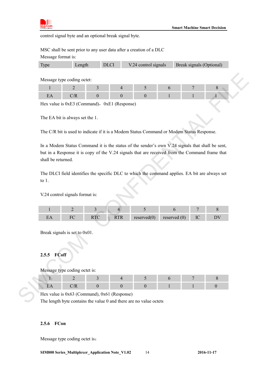

control signal byte and an optional break signal byte.

MSC shall be sent prior to any user data after a creation of a DLC Message format is:

|  | Type | Length | DLCI | $V.24$ control signals | Break signals (Optional) |
|--|------|--------|------|------------------------|--------------------------|
|--|------|--------|------|------------------------|--------------------------|

Message type coding octet:

Hex value is  $0xE3$  (Command),  $0xE1$  (Response)

The EA bit is always set the 1.

The C/R bit is used to indicate if it is a Modem Status Command or Modem Status Response.

In a Modem Status Command it is the status of the sender's own V.24 signals that shall be sent, but in a Response it is copy of the V.24 signals that are received from the Command frame that shall be returned. Message type coding otels:<br>  $\frac{1}{2}$  a<br>  $\frac{1}{2}$ <br>
Lies, value is OxE3 (Command), 0xE1 (Response)<br>
The FA bit is always set the 1.<br>
The CR bit is used to indeter if it is a Modern Status Command or Modern Status Response

The DLCI field identifies the specific DLC to which the command applies. EA bit are always set to 1.

V.24 control signals format is:

|  | <b>TTTT</b> | reserve <sub>0</sub> | reserved ( |  |
|--|-------------|----------------------|------------|--|

Break signals is set to 0x01.

#### <span id="page-13-0"></span>**2.5.5 FCoff**

Message type coding octet is:

Hex value is 0x63 (Command), 0x61 (Response)

The length byte contains the value 0 and there are no value octets

#### <span id="page-13-1"></span>**2.5.6 FCon**

Message type coding octet is: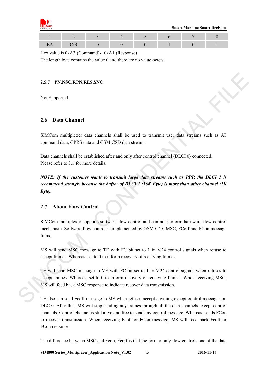

 **Smart Machine Smart Decision**

Hex value is  $0xA3$  (Command),  $0xA1$  (Response)

The length byte contains the value 0 and there are no value octets

#### <span id="page-14-0"></span>**2.5.7 PN,NSC,RPN,RLS,SNC**

Not Supported.

#### <span id="page-14-1"></span>**2.6 Data Channel**

SIMCom multiplexer data channels shall be used to transmit user data streams such as AT command data, GPRS data and GSM CSD data streams.

Data channels shall be established after and only after control channel (DLCI 0) connected. Please refer to 3.1 for more details.

*NOTE: If the customer wants to transmit large data streams such as PPP, the DLCI 1 is recommend strongly because the buffer of DLCI 1 (16K Byte) is more than other channel (1K Byte).*

## <span id="page-14-2"></span>**2.7 About Flow Control**

SIMCom multiplexer supports software flow control and can not perform hardware flow control mechanism. Software flow control is implemented by GSM 0710 MSC, FCoff and FCon message frame.

MS will send MSC message to TE with FC bit set to 1 in V.24 control signals when refuse to accept frames. Whereas, set to 0 to inform recovery of receiving frames.

TE will send MSC message to MS with FC bit set to 1 in V.24 control signals when refuses to accept frames. Whereas, set to 0 to inform recovery of receiving frames. When receiving MSC, MS will feed back MSC response to indicate recover data transmission. 2.5.7 **PNASC;RPA,RLS.SNC**<br>
Nel Supported.<br>
2.6 **Data Channel**<br>
SIMC commund data, GPRS data and GSM CSD data streams.<br>
1. Data channels shall be ensablished after and only after control channel (DLC10) connected.<br>
2. Data

TE also can send Fcoff message to MS when refuses accept anything except control messages on DLC 0. After this, MS will stop sending any frames through all the data channels except control channels. Control channel is still alive and free to send any control message. Whereas, sends FCon to recover transmission. When receiving Fcoff or FCon message, MS will feed back Fcoff or FCon response.

The difference between MSC and Fcon, Fcoff is that the former only flow controls one of the data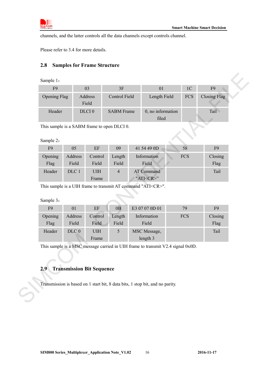

channels, and the latter controls all the data channels except controls channel.

<span id="page-15-0"></span>Please refer to 3.4 for more details.

## **2.8 Samples for Frame Structure**

| F <sub>9</sub><br><b>Opening Flag</b>       |                                  | 03<br>Address                                                                    | 3F<br><b>Control Field</b> | 01<br>Length Field                                                              | 1 <sub>C</sub><br><b>FCS</b> | F <sub>9</sub><br><b>Closing Flag</b> |
|---------------------------------------------|----------------------------------|----------------------------------------------------------------------------------|----------------------------|---------------------------------------------------------------------------------|------------------------------|---------------------------------------|
|                                             |                                  | Field                                                                            |                            |                                                                                 |                              |                                       |
| Header                                      |                                  | DLCI <sub>0</sub>                                                                | <b>SABM</b> Frame          | 0, no information<br>filed                                                      |                              | Tail                                  |
| This sample is a SABM frame to open DLCI 0. |                                  |                                                                                  |                            |                                                                                 |                              |                                       |
| Sample 2:                                   |                                  |                                                                                  |                            |                                                                                 |                              |                                       |
| F <sub>9</sub>                              | 05                               | $\rm EF$                                                                         | 09                         | 41 54 49 0D                                                                     | 58                           | F <sub>9</sub>                        |
| Opening<br>Flag                             | Address<br>Field                 | Control<br>Field                                                                 | Length<br>Field            | Information<br>Field                                                            | <b>FCS</b>                   | Closing<br>Flag                       |
| Header                                      | DLC 1                            | $\ensuremath{\mathrm{U}}\ensuremath{\mathrm{I}}\ensuremath{\mathrm{H}}$<br>Frame | $\overline{4}$             | <b>AT Command</b><br>"ATI <cr>"</cr>                                            |                              | Tail                                  |
|                                             |                                  |                                                                                  |                            | This sample is a UIH frame to transmit AT command "ATI <cr>".</cr>              |                              |                                       |
| Sample 3:                                   |                                  |                                                                                  |                            |                                                                                 |                              |                                       |
| F <sub>9</sub>                              | 01                               | EF                                                                               | 0B                         | E3 07 07 0D 01                                                                  | 79                           | F <sub>9</sub>                        |
| Opening<br>Flag                             | Address<br>Field                 | Control<br>Field                                                                 | Length<br>Field            | Information<br>Field                                                            | <b>FCS</b>                   | Closing<br>Flag                       |
| Header                                      | DLC <sub>0</sub>                 | $U\mathrm{IH}$<br>Frame                                                          | 5                          | MSC Message,<br>length 3                                                        |                              | Tail                                  |
|                                             |                                  |                                                                                  |                            | This sample is a MSC message carried in UIH frame to transmit V2.4 signal 0x0D. |                              |                                       |
| 2.9                                         | <b>Transmission Bit Sequence</b> |                                                                                  |                            |                                                                                 |                              |                                       |
|                                             |                                  |                                                                                  |                            |                                                                                 |                              |                                       |
|                                             |                                  |                                                                                  |                            | Transmission is based on 1 start bit, 8 data bits, 1 stop bit, and no parity.   |                              |                                       |

| F <sub>9</sub>  | 05               | EF               | 09              | 41 54 49 0D                   | 58         | F <sub>9</sub>  |
|-----------------|------------------|------------------|-----------------|-------------------------------|------------|-----------------|
| Opening<br>Flag | Address<br>Field | Control<br>Field | Length<br>Field | Information<br>Field          | <b>FCS</b> | Closing<br>Flag |
| Header          | DLC 1            | UIH<br>Frame     | 4               | AT Command<br>"ATI <cr>"</cr> |            | Tail            |

| F9      | 0 <sup>1</sup>   | EF         | 0B     | E3 07 07 0D 01 | 79         | F <sub>9</sub> |
|---------|------------------|------------|--------|----------------|------------|----------------|
| Opening | Address          | Control    | Length | Information    | <b>FCS</b> | Closing        |
| Flag    | Field            | Field      | Field  | Field          |            | Flag           |
| Header  | DLC <sub>0</sub> | <b>UIH</b> | 5      | MSC Message,   |            | Tail           |
|         |                  | Frame      |        | length 3       |            |                |

# <span id="page-15-1"></span>**2.9 Transmission Bit Sequence**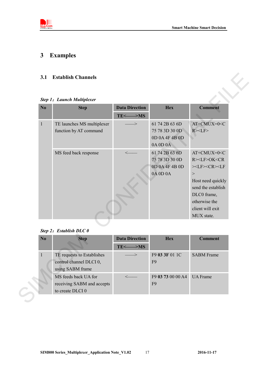

# <span id="page-16-0"></span>**3 Examples**

## <span id="page-16-1"></span>**3.1 Establish Channels**

#### *Step 1*:*Launch Multiplexer*

|              | Step 1: Launch Multiplexer |                                  |                                  |                                 |
|--------------|----------------------------|----------------------------------|----------------------------------|---------------------------------|
| No           | <b>Step</b>                | <b>Data Direction</b>            | <b>Hex</b>                       | <b>Comment</b>                  |
|              |                            | $TE \leq$ $\Longrightarrow$ MS   |                                  |                                 |
| 1            | TE launches MS multiplexer | $\Rightarrow$                    | 61 74 2B 63 6D                   | AT+CMUX=0 <c< td=""></c<>       |
|              | function by AT command     |                                  | 75 78 3D 30 0D<br>0D 0A 4F 4B 0D | R > LF                          |
|              |                            |                                  | 0A 0D 0A                         |                                 |
|              | MS feed back response      | $\leftarrow$                     | 61 74 2B 63 6D                   | AT+CMUX=0 <c< td=""></c<>       |
|              |                            |                                  | 75 78 3D 30 0D                   | R> <lf>OK<cr< td=""></cr<></lf> |
|              |                            |                                  | 0D 0A 4F 4B 0D                   | $><$ LF $><$ CR $><$ LF         |
|              |                            |                                  | 0A 0D 0A                         | $\,>$                           |
|              |                            |                                  |                                  | Host need quickly               |
|              |                            |                                  |                                  | send the establish              |
|              |                            |                                  |                                  | DLC0 frame,                     |
|              |                            |                                  |                                  | otherwise the                   |
|              |                            |                                  |                                  | client will exit                |
|              |                            |                                  |                                  | MUX state.                      |
|              | Step 2: Establish DLC 0    |                                  |                                  |                                 |
| No           | <b>Step</b>                | <b>Data Direction</b>            | <b>Hex</b>                       | <b>Comment</b>                  |
|              |                            | $TE \leq$ $\Longrightarrow$ $MS$ |                                  |                                 |
| $\mathbf{1}$ | TE requests to Establishes |                                  | F9 03 3F 01 1C                   | <b>SABM</b> Frame               |
|              | control channel DLCI 0,    |                                  | F <sub>9</sub>                   |                                 |
|              | using SABM frame           |                                  |                                  |                                 |
|              | MS feeds back UA for       |                                  | F9 03 73 00 00 A4                | <b>UA</b> Frame                 |
|              | receiving SABM and accepts |                                  | F <sub>9</sub>                   |                                 |

#### *Step 2*:*Establish DLC 0*

| N <sub>0</sub> | <b>Step</b>                | <b>Data Direction</b>     | <b>Hex</b>        | <b>Comment</b>    |
|----------------|----------------------------|---------------------------|-------------------|-------------------|
|                |                            | $TE < \longrightarrow MS$ |                   |                   |
|                | TE requests to Establishes |                           | F9 03 3F 01 1C    | <b>SABM</b> Frame |
|                | control channel DLCI 0,    |                           | F <sub>9</sub>    |                   |
|                | using SABM frame           |                           |                   |                   |
|                | MS feeds back UA for       |                           | F9 03 73 00 00 A4 | <b>UA</b> Frame   |
|                | receiving SABM and accepts |                           | F <sub>9</sub>    |                   |
|                | to create DLCI 0           |                           |                   |                   |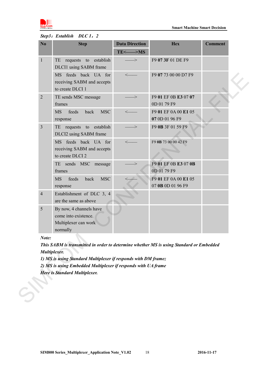

## *Step3*:*Establish DLC 1*,*2*

| No             | <b>Step</b>                                                                             | <b>Data Direction</b>          | <b>Hex</b>                                | <b>Comment</b> |
|----------------|-----------------------------------------------------------------------------------------|--------------------------------|-------------------------------------------|----------------|
|                |                                                                                         | $TE \leq$ $\Longrightarrow$ MS |                                           |                |
| $\mathbf{1}$   | TE requests to establish<br>DLCI1 using SABM frame                                      | $\Longrightarrow$              | F9 07 3F 01 DE F9                         |                |
|                | MS feeds back UA for<br>receiving SABM and accepts<br>to create DLCI 1                  | $\leftarrow$                   | F9 07 73 00 00 D7 F9                      |                |
| $\overline{2}$ | TE sends MSC message<br>frames                                                          | ->                             | F9 01 EF 0B E3 07 07<br>0D 01 79 F9       |                |
|                | back<br><b>MSC</b><br>feeds<br><b>MS</b><br>response                                    | $\leftarrow$                   | F9 01 EF 0A 00 E1 05<br>07 0D 01 96 F9    |                |
| $\overline{3}$ | TE requests to establish<br>DLCI2 using SABM frame                                      | $\Rightarrow$                  | F9 0B 3F 01 59 F9                         |                |
|                | MS feeds back UA for<br>receiving SABM and accepts<br>to create DLCI 2                  |                                | F9 0B 73 00 00 42 F9                      |                |
|                | TE sends MSC message<br>frames                                                          |                                | F9 01 EF 0B E3 07 0B<br>0D 01 79 F9       |                |
|                | <b>MSC</b><br>feeds<br>back<br><b>MS</b><br>response                                    |                                | F9 01 EF 0A 00 E1 05<br>07 0B 0D 01 96 F9 |                |
| $\overline{4}$ | Establishment of DLC 3, 4<br>are the same as above                                      |                                |                                           |                |
| 5              | By now, 4 channels have<br>come into existence.<br>Multiplexer can work<br>normally     |                                |                                           |                |
| Note:          |                                                                                         |                                |                                           |                |
|                | This SABM is transmitted in order to determine whether MS is using Standard or Embedded |                                |                                           |                |
| Multiplexer.   |                                                                                         |                                |                                           |                |
|                | 1) MS is using Standard Multiplexer if responds with DM frame;                          |                                |                                           |                |
|                | 2) MS is using Embedded Multiplexer if responds with UA frame                           |                                |                                           |                |
|                | <b>Here is Standard Multiplexer.</b>                                                    |                                |                                           |                |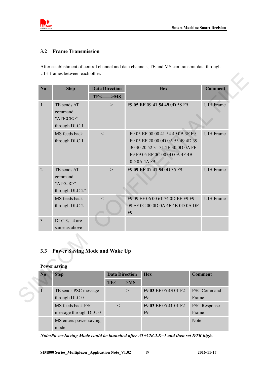

#### <span id="page-18-0"></span>**3.2 Frame Transmission**

After establishment of control channel and data channels, TE and MS can transmit data through UIH frames between each other.

| N <sub>o</sub>      | <b>Step</b>                                                 | <b>Data Direction</b>                                   |                | <b>Hex</b>                                                                                                                                               |                | <b>Comment</b>     |
|---------------------|-------------------------------------------------------------|---------------------------------------------------------|----------------|----------------------------------------------------------------------------------------------------------------------------------------------------------|----------------|--------------------|
|                     |                                                             | $TE \leq$ $\Longrightarrow$ MS                          |                |                                                                                                                                                          |                |                    |
| $\mathbf{1}$        | TE sends AT<br>command<br>"ATI <cr>"<br/>through DLC 1</cr> | $\mathbb{R}$                                            |                | F9 05 EF 09 41 54 49 0D 58 F9                                                                                                                            |                | <b>UIH</b> Frame   |
|                     | MS feeds back<br>through DLC 1                              | $\leftarrow$                                            |                | F9 05 EF 08 00 41 54 49 0B 3F F9<br>F9 05 EF 20 00 0D 0A 53 49 4D 39<br>30 30 20 52 31 31 2E 30 0D 0A FF<br>F9 F9 05 EF 0C 00 0D 0A 4F 4B<br>0D 0A 4A F9 |                | <b>UIH</b> Frame   |
| $\overline{2}$      | TE sends AT<br>command<br>"AT <cr>"<br/>through DLC 2"</cr> | $\Rightarrow$                                           |                | F9 09 EF 07 41 54 0D 35 F9                                                                                                                               |                | <b>UIH</b> Frame   |
|                     | MS feeds back<br>through DLC 2                              |                                                         | F <sub>9</sub> | F9 09 EF 06 00 61 74 0D EF F9 F9<br>09 EF 0C 00 0D 0A 4F 4B 0D 0A DF                                                                                     |                | <b>UIH</b> Frame   |
| $\overline{3}$      | DLC 3, 4 are<br>same as above                               |                                                         |                |                                                                                                                                                          |                |                    |
|                     |                                                             |                                                         |                |                                                                                                                                                          |                |                    |
| 3.3                 | <b>Power Saving Mode and Wake Up</b>                        |                                                         |                |                                                                                                                                                          |                |                    |
| <b>Power saving</b> |                                                             |                                                         |                |                                                                                                                                                          |                |                    |
| N <sub>0</sub>      | <b>Step</b>                                                 | <b>Data Direction</b><br>$TE \leq$ $\Longrightarrow$ MS |                | <b>Hex</b>                                                                                                                                               | <b>Comment</b> |                    |
|                     | TE sends PSC message<br>through DLC 0                       |                                                         | ->             | F9 03 EF 05 43 01 F2<br>F <sub>9</sub>                                                                                                                   | Frame          | <b>PSC Command</b> |
|                     |                                                             |                                                         |                |                                                                                                                                                          |                |                    |

## <span id="page-18-1"></span>**3.3 Power Saving Mode and Wake Up**

#### **Power saving**

| N <sub>0</sub> | <b>Step</b>            | <b>Data Direction</b>          | <b>Hex</b>           | <b>Comment</b>      |
|----------------|------------------------|--------------------------------|----------------------|---------------------|
|                |                        | $TE \leq$ $\Longrightarrow$ MS |                      |                     |
|                | TE sends PSC message   | $\implies$                     | F9 03 EF 05 43 01 F2 | <b>PSC Command</b>  |
|                | through DLC 0          |                                | F <sub>9</sub>       | Frame               |
|                | MS feeds back PSC      |                                | F9 03 EF 05 41 01 F2 | <b>PSC</b> Response |
|                | message through DLC 0  |                                | F <sub>9</sub>       | Frame               |
|                | MS enters power saving |                                |                      | <b>Note</b>         |
|                | mode                   |                                |                      |                     |

*Note:Power Saving Mode could be launched after AT+CSCLK=1 and then set DTR high.*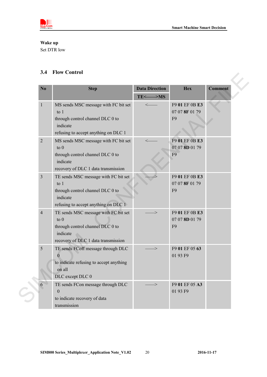



# **Wake up**

Set DTR low

## <span id="page-19-0"></span>**3.4 Flow Control**

| N <sub>0</sub> | <b>Step</b>                                                                                                                                   | <b>Data Direction</b>          | <b>Hex</b>                                         | <b>Comment</b> |
|----------------|-----------------------------------------------------------------------------------------------------------------------------------------------|--------------------------------|----------------------------------------------------|----------------|
|                |                                                                                                                                               | $TE \leq$ $\Longrightarrow$ MS |                                                    |                |
| 1              | MS sends MSC message with FC bit set<br>to $1$<br>through control channel DLC 0 to<br>indicate<br>refusing to accept anything on DLC 1        | $\leftarrow$                   | F9 01 EF 0B E3<br>07 07 8F 01 79<br>F <sub>9</sub> |                |
| $\overline{2}$ | MS sends MSC message with FC bit set<br>$\circ$ 0<br>through control channel DLC 0 to<br>indicate<br>recovery of DLC 1 data transmission      |                                | F9 01 EF 0B E3<br>07 07 8D 01 79<br>F <sub>9</sub> |                |
| $\mathfrak{Z}$ | TE sends MSC message with FC bit set<br>$\frac{1}{2}$<br>through control channel DLC 0 to<br>indicate<br>refusing to accept anything on DLC 1 |                                | F9 01 EF 0B E3<br>07 07 8F 01 79<br>F <sub>9</sub> |                |
| $\overline{4}$ | TE sends MSC message with FC bit set<br>$\circ$ 0<br>through control channel DLC 0 to<br>indicate<br>recovery of DLC 1 data transmission      |                                | F9 01 EF 0B E3<br>07 07 8D 01 79<br>F <sub>9</sub> |                |
| 5              | TE sends FCoff message through DLC<br>$\overline{0}$<br>to indicate refusing to accept anything<br>on all<br>DLC except DLC 0                 |                                | F9 01 EF 05 63<br>01 93 F9                         |                |
| 6              | TE sends FCon message through DLC<br>$\theta$<br>to indicate recovery of data<br>transmission                                                 |                                | F9 01 EF 05 A3<br>01 93 F9                         |                |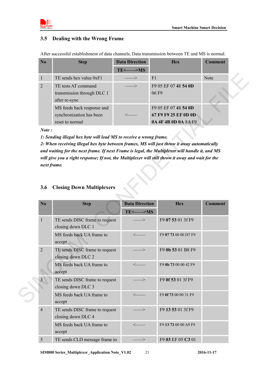

## <span id="page-20-0"></span>**3.5 Dealing with the Wrong Frame**

After successful establishment of data channels, Data transmission between TE and MS is normal.

| $\bf N_0$      | <b>Step</b>                                                               | <b>Data Direction</b>          | <b>Hex</b>                                                           | <b>Comment</b> |
|----------------|---------------------------------------------------------------------------|--------------------------------|----------------------------------------------------------------------|----------------|
|                |                                                                           | $TE \leq$ $\Longrightarrow$ MS |                                                                      |                |
|                | TE sends hex value 0xF1                                                   | —>                             |                                                                      | <b>Note</b>    |
| $\overline{2}$ | TE tests AT command<br>transmission through DLC 1<br>after re-sync        |                                | F9 05 EF 07 41 54 0D<br>06F9                                         |                |
|                | MS feeds back response and<br>synchronization has been<br>reset to normal |                                | F9 05 EF 07 41 54 0D<br>67 F9 F9 25 EF 0D 0D<br>0A 4F 4B 0D 0A 8A F9 |                |

| $\mathbf{1}$   | TE sends hex value 0xF1                                                                                                                                                                                                                                                                                                                                                                                                     | $\Rightarrow$                                      | F1                                                                   | Note           |
|----------------|-----------------------------------------------------------------------------------------------------------------------------------------------------------------------------------------------------------------------------------------------------------------------------------------------------------------------------------------------------------------------------------------------------------------------------|----------------------------------------------------|----------------------------------------------------------------------|----------------|
| 2              | TE tests AT command<br>transmission through DLC 1<br>after re-sync                                                                                                                                                                                                                                                                                                                                                          | $\gt$                                              | F9 05 EF 07 41 54 0D<br>06 F9                                        |                |
|                | MS feeds back response and<br>synchronization has been<br>reset to normal                                                                                                                                                                                                                                                                                                                                                   |                                                    | F9 05 EF 07 41 54 0D<br>67 F9 F9 25 EF 0D 0D<br>0A 4F 4B 0D 0A 8A F9 |                |
| Note:<br>3.6   | 1: Sending illegal hex byte will lead MS to receive a wrong frame.<br>2: When receiving illegal hex byte between frames, MS will just throw it away automatically<br>and waiting for the next frame. If next Frame is legal, the Multiplexer will handle it, and MS<br>will give you a right response; If not, the Multiplexer will still throw it away and wait for the<br>next frame.<br><b>Closing Down Multiplexers</b> |                                                    |                                                                      |                |
| N <sub>o</sub> | <b>Step</b>                                                                                                                                                                                                                                                                                                                                                                                                                 | <b>Data Direction</b><br>$TE < \longrightarrow MS$ | <b>Hex</b>                                                           | <b>Comment</b> |
| $\mathbf{1}$   | TE sends DISC frame to request<br>closing down DLC 1                                                                                                                                                                                                                                                                                                                                                                        |                                                    | F9 07 53 01 3f F9                                                    |                |
|                | MS feeds back UA frame to<br>accept                                                                                                                                                                                                                                                                                                                                                                                         |                                                    | F9 07 73 00 00 D7 F9                                                 |                |
| $\overline{2}$ | TE sends DISC frame to request<br>closing down DLC 2                                                                                                                                                                                                                                                                                                                                                                        |                                                    | F9 0b 53 01 B8 F9                                                    |                |
|                | MS feeds back UA frame to<br>accept                                                                                                                                                                                                                                                                                                                                                                                         |                                                    | F9 0b 73 00 00 42 F9                                                 |                |
| $\overline{3}$ | TE sends DISC frame to request<br>closing down DLC 3                                                                                                                                                                                                                                                                                                                                                                        |                                                    | F9 0f 53 01 3f F9                                                    |                |
|                | MS feeds back UA frame to<br>accept                                                                                                                                                                                                                                                                                                                                                                                         | $\leftarrow$                                       | F9 0f 73 00 00 31 F9                                                 |                |
| $\overline{4}$ | TE sends DISC frame to request<br>closing down DLC 4                                                                                                                                                                                                                                                                                                                                                                        |                                                    | F9 13 53 01 3f F9                                                    |                |
|                | MS feeds back UA frame to<br>accept                                                                                                                                                                                                                                                                                                                                                                                         |                                                    | F9 13 73 00 00 A9 F9                                                 |                |
|                |                                                                                                                                                                                                                                                                                                                                                                                                                             |                                                    |                                                                      |                |

## <span id="page-20-1"></span>**3.6 Closing Down Multiplexers**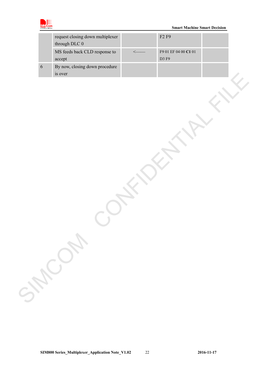

|            | request closing down multiplexer<br>through DLC ${\bf 0}$ |              | ${\rm F2}$ ${\rm F9}$         |  |
|------------|-----------------------------------------------------------|--------------|-------------------------------|--|
|            | MS feeds back CLD response to<br>accept                   | $\leftarrow$ | F9 01 EF 04 00 C1 01<br>D3 F9 |  |
| $\sqrt{6}$ | By now, closing down procedure<br>is over                 |              |                               |  |
|            |                                                           |              |                               |  |
|            |                                                           |              |                               |  |
|            |                                                           |              |                               |  |
|            |                                                           |              |                               |  |
|            |                                                           |              |                               |  |
|            |                                                           |              |                               |  |
|            |                                                           |              |                               |  |
|            |                                                           |              |                               |  |
|            |                                                           |              |                               |  |
|            |                                                           |              |                               |  |
|            |                                                           |              |                               |  |
|            | SHOWN                                                     |              |                               |  |
|            |                                                           |              |                               |  |
|            |                                                           |              |                               |  |
|            |                                                           |              |                               |  |
|            |                                                           |              |                               |  |
|            |                                                           |              |                               |  |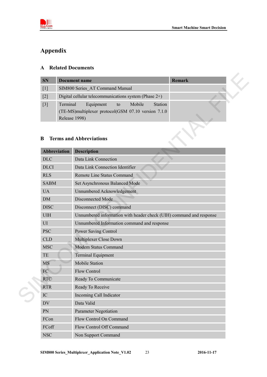

# <span id="page-22-0"></span>**Appendix**

## <span id="page-22-1"></span>**A Related Documents**

| <b>SN</b>         | Document name                                            | <b>Remark</b> |
|-------------------|----------------------------------------------------------|---------------|
| $\lceil 1 \rceil$ | SIM800 Series AT Command Manual                          |               |
| $[2]$             | Digital cellular telecommunications system (Phase $2+$ ) |               |
| $\lceil 3 \rceil$ | Terminal<br>Station<br>Equipment<br>Mobile<br>to         |               |
|                   | (TE-MS) multiplexer protocol (GSM 07.10 version 7.1.0)   |               |
|                   | Release 1998)                                            |               |

## <span id="page-22-2"></span>**B Terms and Abbreviations**

| <b>SN</b>         |                           | <b>Document name</b>                                                                               | <b>Remark</b> |  |  |  |
|-------------------|---------------------------|----------------------------------------------------------------------------------------------------|---------------|--|--|--|
| $\lceil 1 \rceil$ |                           | SIM800 Series AT Command Manual                                                                    |               |  |  |  |
| $\lceil 2 \rceil$ |                           | Digital cellular telecommunications system (Phase 2+)                                              |               |  |  |  |
| $[3]$             | Terminal<br>Release 1998) | Equipment<br>Mobile<br>to<br><b>Station</b><br>(TE-MS)multiplexer protocol(GSM 07.10 version 7.1.0 |               |  |  |  |
| B                 |                           | <b>Terms and Abbreviations</b>                                                                     |               |  |  |  |
|                   | <b>Abbreviation</b>       | <b>Description</b>                                                                                 |               |  |  |  |
| <b>DLC</b>        |                           | Data Link Connection                                                                               |               |  |  |  |
| <b>DLCI</b>       |                           | Data Link Connection Identifier                                                                    |               |  |  |  |
| <b>RLS</b>        |                           | Remote Line Status Command                                                                         |               |  |  |  |
| <b>SABM</b>       |                           | Set Asynchronous Balanced Mode                                                                     |               |  |  |  |
| <b>UA</b>         |                           | Unnumbered Acknowledgement                                                                         |               |  |  |  |
| <b>DM</b>         |                           | Disconnected Mode                                                                                  |               |  |  |  |
| <b>DISC</b>       |                           | Disconnect (DISC) command                                                                          |               |  |  |  |
| <b>UIH</b>        |                           | Unnumbered information with header check (UIH) command and response                                |               |  |  |  |
| UI                |                           | Unnumbered Information command and response                                                        |               |  |  |  |
| <b>PSC</b>        |                           | <b>Power Saving Control</b>                                                                        |               |  |  |  |
| <b>CLD</b>        |                           | Multiplexer Close Down                                                                             |               |  |  |  |
| <b>MSC</b>        |                           | Modem Status Command                                                                               |               |  |  |  |
| TE                |                           | <b>Terminal Equipment</b>                                                                          |               |  |  |  |
| <b>MS</b>         |                           | <b>Mobile Station</b>                                                                              |               |  |  |  |
| FC                |                           | <b>Flow Control</b>                                                                                |               |  |  |  |
| <b>RTC</b>        |                           | Ready To Communicate                                                                               |               |  |  |  |
| <b>RTR</b>        |                           | Ready To Receive                                                                                   |               |  |  |  |
| IC                |                           | Incoming Call Indicator                                                                            |               |  |  |  |
| <b>DV</b>         |                           | Data Valid                                                                                         |               |  |  |  |
| PN                |                           | <b>Parameter Negotiation</b>                                                                       |               |  |  |  |
| FCon              |                           | Flow Control On Command                                                                            |               |  |  |  |
| ${\rm FCoff}$     |                           | Flow Control Off Command                                                                           |               |  |  |  |
| <b>NSC</b>        |                           | Non Support Command                                                                                |               |  |  |  |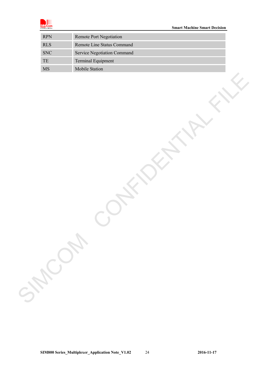

| $\ensuremath{\mathsf{RPN}}$ | Remote Port Negotiation     |
|-----------------------------|-----------------------------|
| $\mathbf{RLS}$              | Remote Line Status Command  |
| ${\rm SNC}$                 | Service Negotiation Command |
| $\ensuremath{\mathsf{TE}}$  | Terminal Equipment          |
| MS                          | Mobile Station              |
| June 24                     |                             |